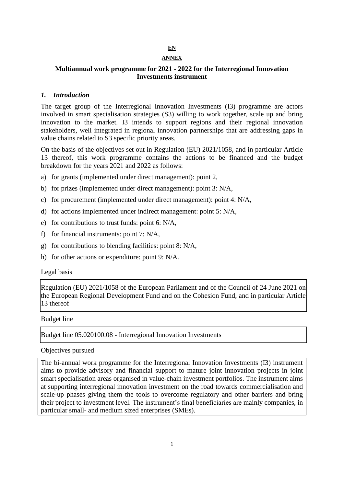# **EN**

# **ANNEX**

## **Multiannual work programme for 2021 - 2022 for the Interregional Innovation Investments instrument**

#### *1. Introduction*

The target group of the Interregional Innovation Investments (I3) programme are actors involved in smart specialisation strategies (S3) willing to work together, scale up and bring innovation to the market. I3 intends to support regions and their regional innovation stakeholders, well integrated in regional innovation partnerships that are addressing gaps in value chains related to S3 specific priority areas.

On the basis of the objectives set out in Regulation (EU) 2021/1058, and in particular Article 13 thereof, this work programme contains the actions to be financed and the budget breakdown for the years 2021 and 2022 as follows:

- a) for grants (implemented under direct management): point 2,
- b) for prizes (implemented under direct management): point 3: N/A,
- c) for procurement (implemented under direct management): point 4: N/A,
- d) for actions implemented under indirect management: point 5: N/A,
- e) for contributions to trust funds: point 6: N/A,
- f) for financial instruments: point 7: N/A,
- g) for contributions to blending facilities: point 8: N/A,
- h) for other actions or expenditure: point 9: N/A.

#### Legal basis

Regulation (EU) 2021/1058 of the European Parliament and of the Council of 24 June 2021 on the European Regional Development Fund and on the Cohesion Fund, and in particular Article 13 thereof

#### Budget line

Budget line 05.020100.08 - Interregional Innovation Investments

#### Objectives pursued

The bi-annual work programme for the Interregional Innovation Investments (I3) instrument aims to provide advisory and financial support to mature joint innovation projects in joint smart specialisation areas organised in value-chain investment portfolios. The instrument aims at supporting interregional innovation investment on the road towards commercialisation and scale-up phases giving them the tools to overcome regulatory and other barriers and bring their project to investment level. The instrument's final beneficiaries are mainly companies, in particular small- and medium sized enterprises (SMEs).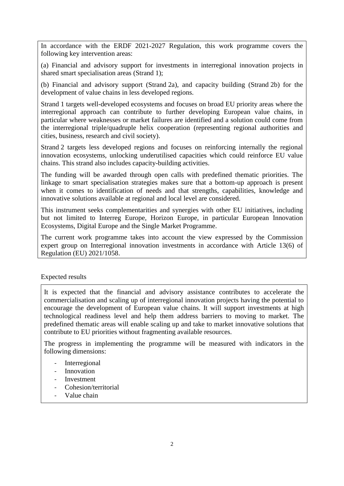In accordance with the ERDF 2021-2027 Regulation, this work programme covers the following key intervention areas:

(a) Financial and advisory support for investments in interregional innovation projects in shared smart specialisation areas (Strand 1);

(b) Financial and advisory support (Strand 2a), and capacity building (Strand 2b) for the development of value chains in less developed regions.

Strand 1 targets well-developed ecosystems and focuses on broad EU priority areas where the interregional approach can contribute to further developing European value chains, in particular where weaknesses or market failures are identified and a solution could come from the interregional triple/quadruple helix cooperation (representing regional authorities and cities, business, research and civil society).

Strand 2 targets less developed regions and focuses on reinforcing internally the regional innovation ecosystems, unlocking underutilised capacities which could reinforce EU value chains. This strand also includes capacity-building activities.

The funding will be awarded through open calls with predefined thematic priorities. The linkage to smart specialisation strategies makes sure that a bottom-up approach is present when it comes to identification of needs and that strengths, capabilities, knowledge and innovative solutions available at regional and local level are considered.

This instrument seeks complementarities and synergies with other EU initiatives, including but not limited to Interreg Europe, Horizon Europe, in particular European Innovation Ecosystems, Digital Europe and the Single Market Programme.

The current work programme takes into account the view expressed by the Commission expert group on Interregional innovation investments in accordance with Article 13(6) of Regulation (EU) 2021/1058.

#### Expected results

It is expected that the financial and advisory assistance contributes to accelerate the commercialisation and scaling up of interregional innovation projects having the potential to encourage the development of European value chains. It will support investments at high technological readiness level and help them address barriers to moving to market. The predefined thematic areas will enable scaling up and take to market innovative solutions that contribute to EU priorities without fragmenting available resources.

The progress in implementing the programme will be measured with indicators in the following dimensions:

- **Interregional**
- **Innovation**
- **Investment**
- Cohesion/territorial
- Value chain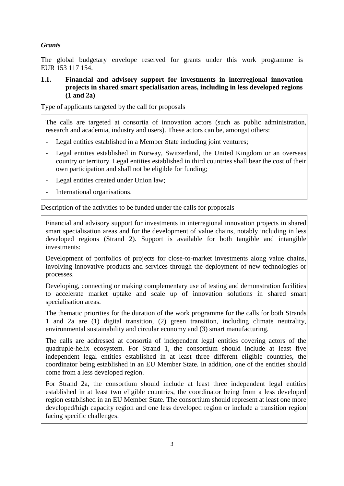# *Grants*

The global budgetary envelope reserved for grants under this work programme is EUR 153 117 154.

#### **1.1. Financial and advisory support for investments in interregional innovation projects in shared smart specialisation areas, including in less developed regions (1 and 2a)**

Type of applicants targeted by the call for proposals

The calls are targeted at consortia of innovation actors (such as public administration, research and academia, industry and users). These actors can be, amongst others:

- Legal entities established in a Member State including joint ventures;
- Legal entities established in Norway, Switzerland, the United Kingdom or an overseas country or territory. Legal entities established in third countries shall bear the cost of their own participation and shall not be eligible for funding;
- Legal entities created under Union law;
- International organisations.

Description of the activities to be funded under the calls for proposals

Financial and advisory support for investments in interregional innovation projects in shared smart specialisation areas and for the development of value chains, notably including in less developed regions (Strand 2). Support is available for both tangible and intangible investments:

Development of portfolios of projects for close-to-market investments along value chains, involving innovative products and services through the deployment of new technologies or processes.

Developing, connecting or making complementary use of testing and demonstration facilities to accelerate market uptake and scale up of innovation solutions in shared smart specialisation areas.

The thematic priorities for the duration of the work programme for the calls for both Strands 1 and 2a are (1) digital transition, (2) green transition, including climate neutrality, environmental sustainability and circular economy and (3) smart manufacturing.

The calls are addressed at consortia of independent legal entities covering actors of the quadruple-helix ecosystem. For Strand 1, the consortium should include at least five independent legal entities established in at least three different eligible countries, the coordinator being established in an EU Member State. In addition, one of the entities should come from a less developed region.

For Strand 2a, the consortium should include at least three independent legal entities established in at least two eligible countries, the coordinator being from a less developed region established in an EU Member State. The consortium should represent at least one more developed/high capacity region and one less developed region or include a transition region facing specific challenges.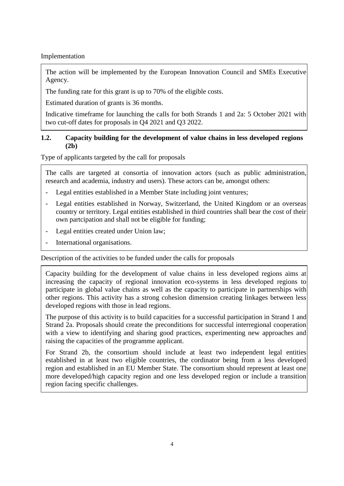Implementation

The action will be implemented by the European Innovation Council and SMEs Executive Agency.

The funding rate for this grant is up to 70% of the eligible costs.

Estimated duration of grants is 36 months.

Indicative timeframe for launching the calls for both Strands 1 and 2a: 5 October 2021 with two cut-off dates for proposals in Q4 2021 and Q3 2022.

### **1.2. Capacity building for the development of value chains in less developed regions (2b)**

Type of applicants targeted by the call for proposals

The calls are targeted at consortia of innovation actors (such as public administration, research and academia, industry and users). These actors can be, amongst others:

- Legal entities established in a Member State including joint ventures;
- Legal entities established in Norway, Switzerland, the United Kingdom or an overseas country or territory. Legal entities established in third countries shall bear the cost of their own partcipation and shall not be eligible for funding;
- Legal entities created under Union law;
- International organisations.

Description of the activities to be funded under the calls for proposals

Capacity building for the development of value chains in less developed regions aims at increasing the capacity of regional innovation eco-systems in less developed regions to participate in global value chains as well as the capacity to participate in partnerships with other regions. This activity has a strong cohesion dimension creating linkages between less developed regions with those in lead regions.

The purpose of this activity is to build capacities for a successful participation in Strand 1 and Strand 2a. Proposals should create the preconditions for successful interregional cooperation with a view to identifying and sharing good practices, experimenting new approaches and raising the capacities of the programme applicant.

For Strand 2b, the consortium should include at least two independent legal entities established in at least two eligible countries, the cordinator being from a less developed region and established in an EU Member State. The consortium should represent at least one more developed/high capacity region and one less developed region or include a transition region facing specific challenges.